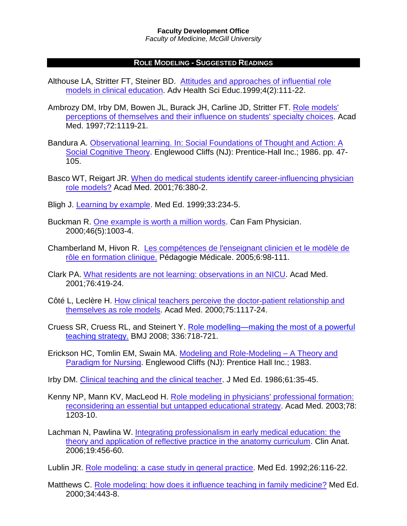*Faculty of Medicine, McGill University*

## **ROLE MODELING - SUGGESTED READINGS**

- Althouse LA, Stritter FT, Steiner BD. [Attitudes and approaches of influential role](http://dx.doi.org/10.1023/A:1009768526142)  models in clinical education. [Adv Health Sci Educ.1999;4\(2\):111-22.](http://dx.doi.org/10.1023/A:1009768526142)
- Ambrozy DM, Irby DM, Bowen JL, Burack JH, [Carline JD, Stritter FT.](http://gateway.tx.ovid.com/gw2/ovidweb.cgi?T=JS&PAGE=fulltext&D=ovft&AN=00001888-199712000-00028&NEWS=N&CSC=Y&CHANNEL=PubMed) Role models' [perceptions of themselves and their influence on students' specialty choices.](http://gateway.tx.ovid.com/gw2/ovidweb.cgi?T=JS&PAGE=fulltext&D=ovft&AN=00001888-199712000-00028&NEWS=N&CSC=Y&CHANNEL=PubMed) Acad Med. [1997;72:1119-21.](http://gateway.tx.ovid.com/gw2/ovidweb.cgi?T=JS&PAGE=fulltext&D=ovft&AN=00001888-199712000-00028&NEWS=N&CSC=Y&CHANNEL=PubMed)
- Bandura A. Observational learning. In: [Social Foundations of Thought and Action: A](http://catalogue.mcgill.ca/F/?func=find-b&find_code=SYS&local_base=MGU01&request=000236844)  [Social Cognitive Theory. Englewood Cliffs \(NJ\): Prentice-Hall Inc.;](http://catalogue.mcgill.ca/F/?func=find-b&find_code=SYS&local_base=MGU01&request=000236844) 1986. pp. 47- 105.
- [Basco WT, Reigart JR. When do medical students identify career-influencing physician](http://gateway.ovid.com/ovidweb.cgi?T=JS&NEWS=N&PAGE=fulltext&AN=00001888-200104000-00017&LSLINK=80&D=ovft)  role models? Acad Med. [2001;76:380-2.](http://gateway.ovid.com/ovidweb.cgi?T=JS&NEWS=N&PAGE=fulltext&AN=00001888-200104000-00017&LSLINK=80&D=ovft)
- Bligh J. [Learning by example.](http://www.blackwell-synergy.com/doi/full/10.1046/j.1365-2923.1999.00413.x) Med Ed. 1999;33:234-5.
- Buckman R. [One example is worth a million words.](http://www.cfp.ca/cgi/reprint/46/5/1003) Can Fam Physician. [2000;46\(5\):1003-4.](http://www.cfp.ca/cgi/reprint/46/5/1003)
- Chamberland M, Hivon R. Les compétences de [l'enseignant clinicien et le modèle de](http://www.pedagogie-medicale.org/vol6.2_references.pdf)  [rôle en formation clinique.](http://www.pedagogie-medicale.org/vol6.2_references.pdf) Pédagogie Médicale. 2005;6:98-111.
- Clark PA. [What residents are not learning: observations in an NICU.](http://gateway.ovid.com/ovidweb.cgi?T=JS&NEWS=N&PAGE=fulltext&AN=00001888-200105000-00008&LSLINK=80&D=ovft) Acad Med. [2001;76:419-24.](http://gateway.ovid.com/ovidweb.cgi?T=JS&NEWS=N&PAGE=fulltext&AN=00001888-200105000-00008&LSLINK=80&D=ovft)
- Côté L, Leclère H. [How clinical teachers perceive the doctor-patient relationship and](http://gateway.ovid.com/ovidweb.cgi?T=JS&NEWS=N&PAGE=fulltext&AN=00001888-200011000-00020&LSLINK=80&D=ovft)  themselves as role models. Acad Med. [2000;75:1117-24.](http://gateway.ovid.com/ovidweb.cgi?T=JS&NEWS=N&PAGE=fulltext&AN=00001888-200011000-00020&LSLINK=80&D=ovft)
- Cruess SR, Cruess RL, and Steinert Y. [Role modelling—making the most of a powerful](http://www.ncbi.nlm.nih.gov/pmc/articles/PMC2276302/)  [teaching strategy.](http://www.ncbi.nlm.nih.gov/pmc/articles/PMC2276302/) BMJ 2008; 336:718-721.
- Erickson HC, Tomlin EM, Swain MA. [Modeling and Role-Modeling –](http://catalogue.mcgill.ca/F/?func=find-b&find_code=SYS&local_base=MGU01&request=000009905) A Theory and Paradigm for Nursing. [Englewood Cliffs \(NJ\): Prentice Hall Inc.; 1983.](http://catalogue.mcgill.ca/F/?func=find-b&find_code=SYS&local_base=MGU01&request=000009905)
- Irby DM. [Clinical teaching and the clinical teacher.](http://gateway.tx.ovid.com/gw2/ovidweb.cgi?T=JS&PAGE=fulltext&D=ovft&AN=00004999-198609000-00004&NEWS=N&CSC=Y&CHANNEL=PubMed) J Med Ed. 1986;61:35-45.
- Kenny NP, Mann KV, MacLeod H. [Role modeling in physicians' professional formation:](http://gateway.ovid.com/ovidweb.cgi?T=JS&NEWS=N&PAGE=fulltext&AN=00001888-200312000-00002&LSLINK=80&D=ovft)  [reconsidering an essential but untapped educational strategy.](http://gateway.ovid.com/ovidweb.cgi?T=JS&NEWS=N&PAGE=fulltext&AN=00001888-200312000-00002&LSLINK=80&D=ovft) Acad Med. 2003;78: [1203-10.](http://gateway.ovid.com/ovidweb.cgi?T=JS&NEWS=N&PAGE=fulltext&AN=00001888-200312000-00002&LSLINK=80&D=ovft)
- [Lachman N, Pawlina W. Integrating professionalism in early medical education: the](http://www3.interscience.wiley.com/cgi-bin/fulltext/112605422/PDFSTART)  [theory and application of reflective practice in the anatomy curriculum. Clin Anat.](http://www3.interscience.wiley.com/cgi-bin/fulltext/112605422/PDFSTART)  [2006;19:456-60.](http://www3.interscience.wiley.com/cgi-bin/fulltext/112605422/PDFSTART)
- Lublin JR. Role modeling: a [case study in general practice.](http://www.ncbi.nlm.nih.gov/sites/entrez?Db=PubMed&Cmd=ShowDetailView&TermToSearch=1565027&ordinalpos=69&itool=EntrezSystem2.PEntrez.Pubmed.Pubmed_ResultsPanel.Pubmed_RVDocSum) Med Ed. 1992;26:116-22.
- Matthews C. [Role modeling: how does it influence teaching in family medicine?](http://www.blackwell-synergy.com/doi/full/10.1046/j.1365-2923.2000.00624.x) Med Ed. [2000;34:443-8.](http://www.blackwell-synergy.com/doi/full/10.1046/j.1365-2923.2000.00624.x)